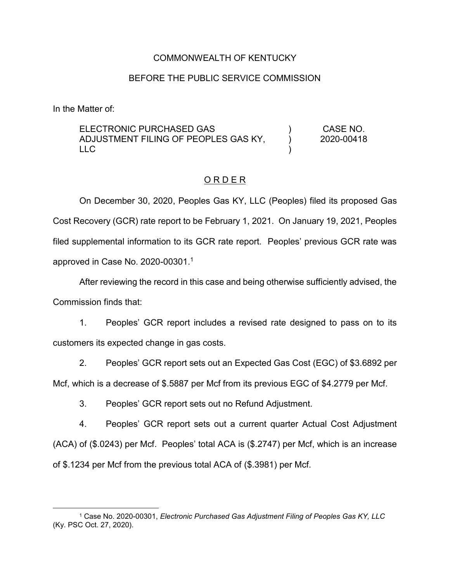#### COMMONWEALTH OF KENTUCKY

#### BEFORE THE PUBLIC SERVICE COMMISSION

In the Matter of:

ELECTRONIC PURCHASED GAS ADJUSTMENT FILING OF PEOPLES GAS KY, LLC ) ) ) CASE NO. 2020-00418

#### O R D E R

On December 30, 2020, Peoples Gas KY, LLC (Peoples) filed its proposed Gas Cost Recovery (GCR) rate report to be February 1, 2021. On January 19, 2021, Peoples filed supplemental information to its GCR rate report. Peoples' previous GCR rate was approved in Case No. 2020-00301.<sup>1</sup>

After reviewing the record in this case and being otherwise sufficiently advised, the Commission finds that:

1. Peoples' GCR report includes a revised rate designed to pass on to its customers its expected change in gas costs.

2. Peoples' GCR report sets out an Expected Gas Cost (EGC) of \$3.6892 per Mcf, which is a decrease of \$.5887 per Mcf from its previous EGC of \$4.2779 per Mcf.

3. Peoples' GCR report sets out no Refund Adjustment.

4. Peoples' GCR report sets out a current quarter Actual Cost Adjustment (ACA) of (\$.0243) per Mcf. Peoples' total ACA is (\$.2747) per Mcf, which is an increase of \$.1234 per Mcf from the previous total ACA of (\$.3981) per Mcf.

 <sup>1</sup> Case No. 2020-00301, *Electronic Purchased Gas Adjustment Filing of Peoples Gas KY, LLC* (Ky. PSC Oct. 27, 2020).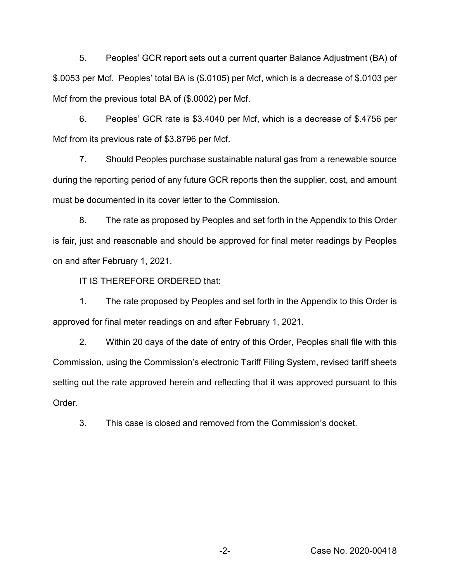5. Peoples' GCR report sets out a current quarter Balance Adjustment (BA) of \$.0053 per Mcf. Peoples' total BA is (\$.0105) per Mcf, which is a decrease of \$.0103 per Mcf from the previous total BA of (\$.0002) per Mcf.

6. Peoples' GCR rate is \$3.4040 per Mcf, which is a decrease of \$.4756 per Mcf from its previous rate of \$3.8796 per Mcf.

7. Should Peoples purchase sustainable natural gas from a renewable source during the reporting period of any future GCR reports then the supplier, cost, and amount must be documented in its cover letter to the Commission.

8. The rate as proposed by Peoples and set forth in the Appendix to this Order is fair, just and reasonable and should be approved for final meter readings by Peoples on and after February 1, 2021.

IT IS THEREFORE ORDERED that:

1. The rate proposed by Peoples and set forth in the Appendix to this Order is approved for final meter readings on and after February 1, 2021.

2. Within 20 days of the date of entry of this Order, Peoples shall file with this Commission, using the Commission's electronic Tariff Filing System, revised tariff sheets setting out the rate approved herein and reflecting that it was approved pursuant to this Order.

3. This case is closed and removed from the Commission's docket.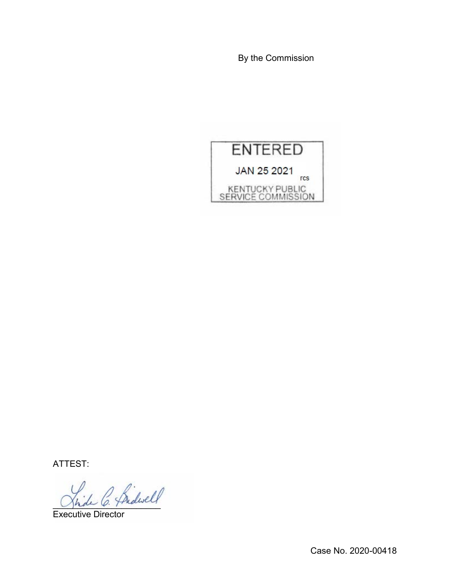By the Commission



ATTEST:

\_\_\_\_\_\_\_\_\_\_\_\_\_\_\_\_\_\_\_\_\_\_

Executive Director

Case No. 2020-00418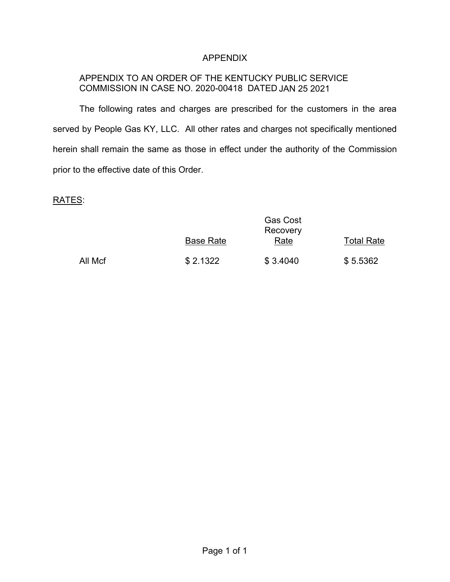## APPENDIX

## APPENDIX TO AN ORDER OF THE KENTUCKY PUBLIC SERVICE COMMISSION IN CASE NO. 2020-00418 DATED JAN 25 2021

The following rates and charges are prescribed for the customers in the area served by People Gas KY, LLC. All other rates and charges not specifically mentioned herein shall remain the same as those in effect under the authority of the Commission prior to the effective date of this Order.

# RATES:

|         | <b>Gas Cost</b><br>Recovery |          |            |
|---------|-----------------------------|----------|------------|
|         | <b>Base Rate</b>            | Rate     | Total Rate |
| All Mcf | \$2.1322                    | \$3.4040 | \$5.5362   |